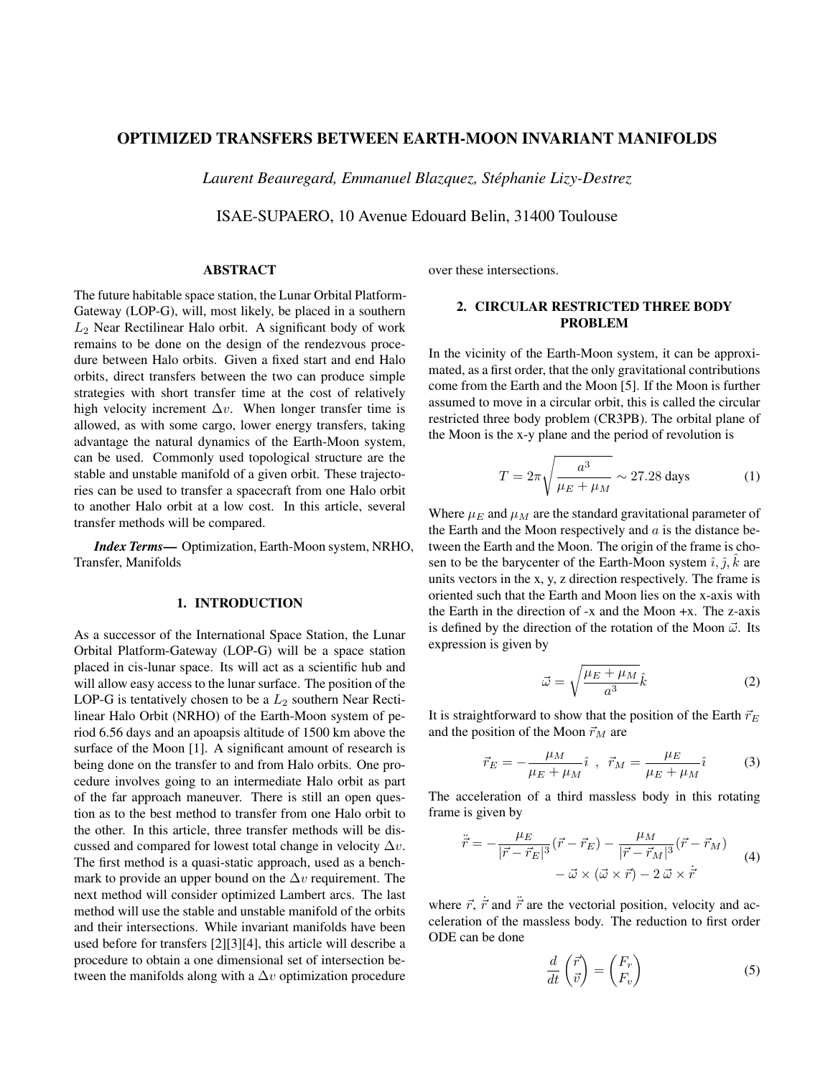# OPTIMIZED TRANSFERS BETWEEN EARTH-MOON INVARIANT MANIFOLDS

*Laurent Beauregard, Emmanuel Blazquez, Stephanie Lizy-Destrez ´*

ISAE-SUPAERO, 10 Avenue Edouard Belin, 31400 Toulouse

### ABSTRACT

The future habitable space station, the Lunar Orbital Platform-Gateway (LOP-G), will, most likely, be placed in a southern  $L_2$  Near Rectilinear Halo orbit. A significant body of work remains to be done on the design of the rendezvous procedure between Halo orbits. Given a fixed start and end Halo orbits, direct transfers between the two can produce simple strategies with short transfer time at the cost of relatively high velocity increment  $\Delta v$ . When longer transfer time is allowed, as with some cargo, lower energy transfers, taking advantage the natural dynamics of the Earth-Moon system, can be used. Commonly used topological structure are the stable and unstable manifold of a given orbit. These trajectories can be used to transfer a spacecraft from one Halo orbit to another Halo orbit at a low cost. In this article, several transfer methods will be compared.

*Index Terms*— Optimization, Earth-Moon system, NRHO, Transfer, Manifolds

### 1. INTRODUCTION

As a successor of the International Space Station, the Lunar Orbital Platform-Gateway (LOP-G) will be a space station placed in cis-lunar space. Its will act as a scientific hub and will allow easy access to the lunar surface. The position of the LOP-G is tentatively chosen to be a  $L_2$  southern Near Rectilinear Halo Orbit (NRHO) of the Earth-Moon system of period 6.56 days and an apoapsis altitude of 1500 km above the surface of the Moon [1]. A significant amount of research is being done on the transfer to and from Halo orbits. One procedure involves going to an intermediate Halo orbit as part of the far approach maneuver. There is still an open question as to the best method to transfer from one Halo orbit to the other. In this article, three transfer methods will be discussed and compared for lowest total change in velocity  $\Delta v$ . The first method is a quasi-static approach, used as a benchmark to provide an upper bound on the  $\Delta v$  requirement. The next method will consider optimized Lambert arcs. The last method will use the stable and unstable manifold of the orbits and their intersections. While invariant manifolds have been used before for transfers [2][3][4], this article will describe a procedure to obtain a one dimensional set of intersection between the manifolds along with a  $\Delta v$  optimization procedure over these intersections.

# 2. CIRCULAR RESTRICTED THREE BODY PROBLEM

In the vicinity of the Earth-Moon system, it can be approximated, as a first order, that the only gravitational contributions come from the Earth and the Moon [5]. If the Moon is further assumed to move in a circular orbit, this is called the circular restricted three body problem (CR3PB). The orbital plane of the Moon is the x-y plane and the period of revolution is

$$
T = 2\pi \sqrt{\frac{a^3}{\mu_E + \mu_M}} \sim 27.28 \text{ days}
$$
 (1)

Where  $\mu_E$  and  $\mu_M$  are the standard gravitational parameter of the Earth and the Moon respectively and  $a$  is the distance between the Earth and the Moon. The origin of the frame is chosen to be the barycenter of the Earth-Moon system  $\hat{i}$ ,  $\hat{j}$ ,  $\hat{k}$  are units vectors in the x, y, z direction respectively. The frame is oriented such that the Earth and Moon lies on the x-axis with the Earth in the direction of -x and the Moon +x. The z-axis is defined by the direction of the rotation of the Moon  $\vec{\omega}$ . Its expression is given by

$$
\vec{\omega} = \sqrt{\frac{\mu_E + \mu_M}{a^3}} \hat{k}
$$
 (2)

It is straightforward to show that the position of the Earth  $\vec{r}_E$ and the position of the Moon  $\vec{r}_M$  are

$$
\vec{r}_E = -\frac{\mu_M}{\mu_E + \mu_M} \hat{i} \ , \ \vec{r}_M = \frac{\mu_E}{\mu_E + \mu_M} \hat{i} \tag{3}
$$

The acceleration of a third massless body in this rotating frame is given by

$$
\ddot{\vec{r}} = -\frac{\mu_E}{|\vec{r} - \vec{r}_E|^3} (\vec{r} - \vec{r}_E) - \frac{\mu_M}{|\vec{r} - \vec{r}_M|^3} (\vec{r} - \vec{r}_M) - \vec{\omega} \times (\vec{\omega} \times \vec{r}) - 2 \vec{\omega} \times \dot{\vec{r}} \tag{4}
$$

where  $\vec{r}$ ,  $\dot{\vec{r}}$  and  $\ddot{\vec{r}}$  are the vectorial position, velocity and acceleration of the massless body. The reduction to first order ODE can be done

$$
\frac{d}{dt}\begin{pmatrix}\vec{r} \\ \vec{v}\end{pmatrix} = \begin{pmatrix}F_r \\ F_v\end{pmatrix}
$$
\n(5)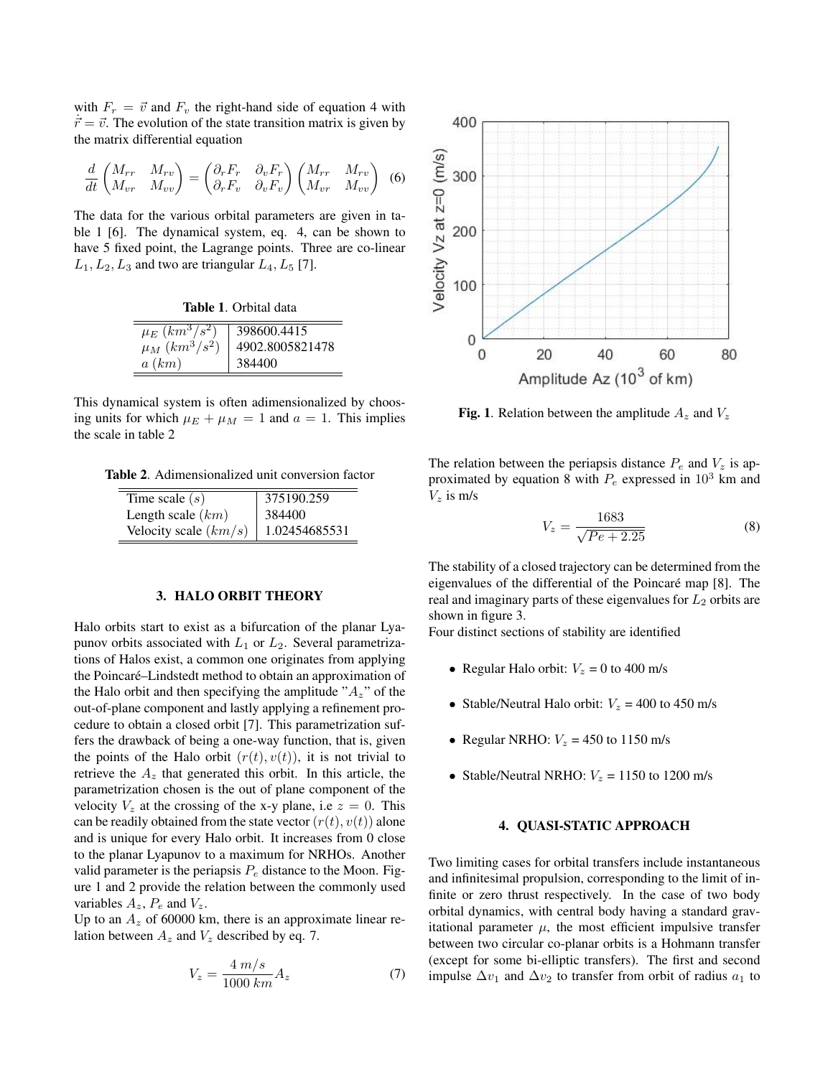with  $F_r = \vec{v}$  and  $F_v$  the right-hand side of equation 4 with  $\vec{r} = \vec{v}$ . The evolution of the state transition matrix is given by the matrix differential equation

$$
\frac{d}{dt}\begin{pmatrix} M_{rr} & M_{rv} \\ M_{vr} & M_{vv} \end{pmatrix} = \begin{pmatrix} \partial_r F_r & \partial_v F_r \\ \partial_r F_v & \partial_v F_v \end{pmatrix} \begin{pmatrix} M_{rr} & M_{rv} \\ M_{vr} & M_{vv} \end{pmatrix}
$$
(6)

The data for the various orbital parameters are given in table 1 [6]. The dynamical system, eq. 4, can be shown to have 5 fixed point, the Lagrange points. Three are co-linear  $L_1, L_2, L_3$  and two are triangular  $L_4, L_5$  [7].

Table 1. Orbital data

| $\mu_E (km^3/s^2)$ | 398600.4415     |
|--------------------|-----------------|
| $\mu_M (km^3/s^2)$ | 4902.8005821478 |
| a(km)              | 384400          |

This dynamical system is often adimensionalized by choosing units for which  $\mu_E + \mu_M = 1$  and  $a = 1$ . This implies the scale in table 2

Table 2. Adimensionalized unit conversion factor

| Time scale $(s)$        | 375190.259    |
|-------------------------|---------------|
| Length scale $(km)$     | 384400        |
| Velocity scale $(km/s)$ | 1.02454685531 |

#### 3. HALO ORBIT THEORY

Halo orbits start to exist as a bifurcation of the planar Lyapunov orbits associated with  $L_1$  or  $L_2$ . Several parametrizations of Halos exist, a common one originates from applying the Poincaré–Lindstedt method to obtain an approximation of the Halo orbit and then specifying the amplitude " $A_z$ " of the out-of-plane component and lastly applying a refinement procedure to obtain a closed orbit [7]. This parametrization suffers the drawback of being a one-way function, that is, given the points of the Halo orbit  $(r(t), v(t))$ , it is not trivial to retrieve the  $A<sub>z</sub>$  that generated this orbit. In this article, the parametrization chosen is the out of plane component of the velocity  $V_z$  at the crossing of the x-y plane, i.e  $z = 0$ . This can be readily obtained from the state vector  $(r(t), v(t))$  alone and is unique for every Halo orbit. It increases from 0 close to the planar Lyapunov to a maximum for NRHOs. Another valid parameter is the periapsis  $P_e$  distance to the Moon. Figure 1 and 2 provide the relation between the commonly used variables  $A_z$ ,  $P_e$  and  $V_z$ .

Up to an  $A<sub>z</sub>$  of 60000 km, there is an approximate linear relation between  $A_z$  and  $V_z$  described by eq. 7.

$$
V_z = \frac{4 \, m/s}{1000 \, km} A_z \tag{7}
$$



**Fig. 1.** Relation between the amplitude  $A_z$  and  $V_z$ 

The relation between the periapsis distance  $P_e$  and  $V_z$  is approximated by equation 8 with  $P_e$  expressed in  $10^3$  km and  $V<sub>z</sub>$  is m/s

$$
V_z = \frac{1683}{\sqrt{Pe + 2.25}}
$$
 (8)

The stability of a closed trajectory can be determined from the eigenvalues of the differential of the Poincaré map [8]. The real and imaginary parts of these eigenvalues for  $L_2$  orbits are shown in figure 3.

Four distinct sections of stability are identified

- Regular Halo orbit:  $V_z = 0$  to 400 m/s
- Stable/Neutral Halo orbit:  $V_z = 400$  to 450 m/s
- Regular NRHO:  $V_z = 450$  to 1150 m/s
- Stable/Neutral NRHO:  $V_z = 1150$  to 1200 m/s

### 4. QUASI-STATIC APPROACH

Two limiting cases for orbital transfers include instantaneous and infinitesimal propulsion, corresponding to the limit of infinite or zero thrust respectively. In the case of two body orbital dynamics, with central body having a standard gravitational parameter  $\mu$ , the most efficient impulsive transfer between two circular co-planar orbits is a Hohmann transfer (except for some bi-elliptic transfers). The first and second impulse  $\Delta v_1$  and  $\Delta v_2$  to transfer from orbit of radius  $a_1$  to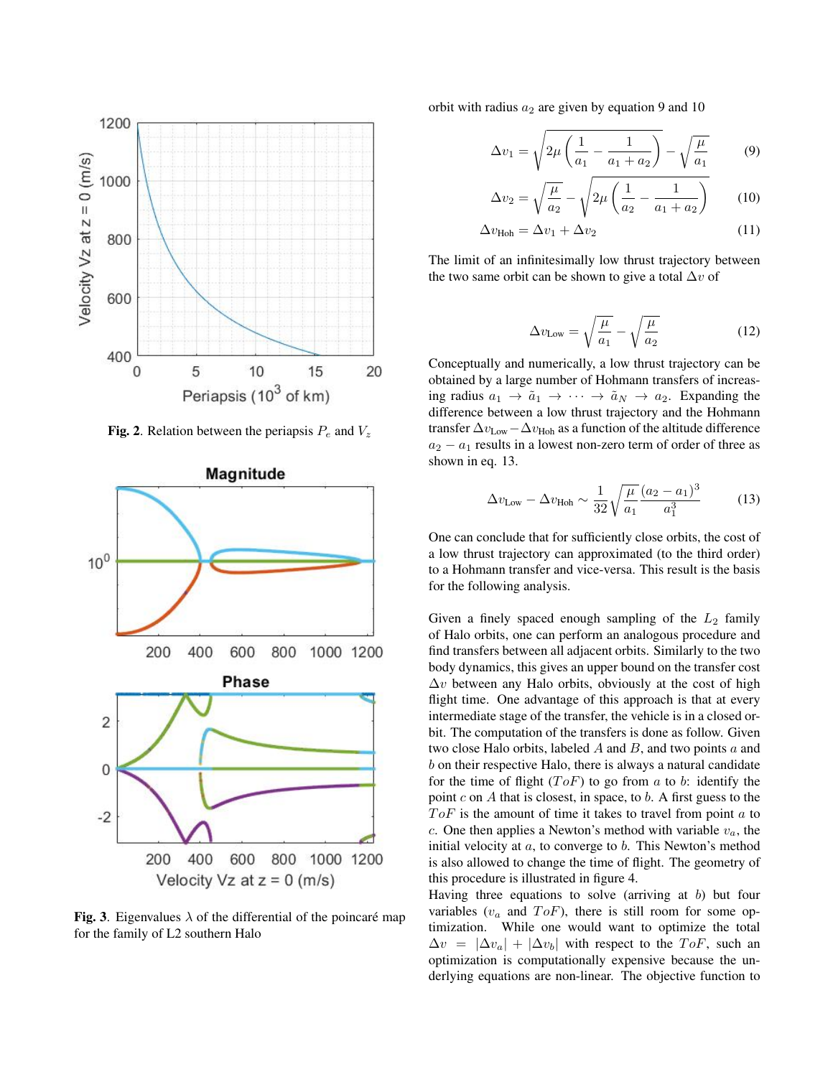

Fig. 2. Relation between the periapsis  $P_e$  and  $V_z$ 



Fig. 3. Eigenvalues  $\lambda$  of the differential of the poincaré map for the family of L2 southern Halo

orbit with radius  $a_2$  are given by equation 9 and 10

$$
\Delta v_1 = \sqrt{2\mu \left(\frac{1}{a_1} - \frac{1}{a_1 + a_2}\right)} - \sqrt{\frac{\mu}{a_1}}
$$
(9)

$$
\Delta v_2 = \sqrt{\frac{\mu}{a_2}} - \sqrt{2\mu \left(\frac{1}{a_2} - \frac{1}{a_1 + a_2}\right)}\tag{10}
$$

$$
\Delta v_{\text{Hoh}} = \Delta v_1 + \Delta v_2 \tag{11}
$$

The limit of an infinitesimally low thrust trajectory between the two same orbit can be shown to give a total  $\Delta v$  of

$$
\Delta v_{\text{Low}} = \sqrt{\frac{\mu}{a_1}} - \sqrt{\frac{\mu}{a_2}} \tag{12}
$$

Conceptually and numerically, a low thrust trajectory can be obtained by a large number of Hohmann transfers of increasing radius  $a_1 \rightarrow \tilde{a}_1 \rightarrow \cdots \rightarrow \tilde{a}_N \rightarrow a_2$ . Expanding the difference between a low thrust trajectory and the Hohmann transfer  $\Delta v_{\text{Low}} - \Delta v_{\text{Hoh}}$  as a function of the altitude difference  $a_2 - a_1$  results in a lowest non-zero term of order of three as shown in eq. 13.

$$
\Delta v_{\text{Low}} - \Delta v_{\text{Hoh}} \sim \frac{1}{32} \sqrt{\frac{\mu}{a_1}} \frac{(a_2 - a_1)^3}{a_1^3} \tag{13}
$$

One can conclude that for sufficiently close orbits, the cost of a low thrust trajectory can approximated (to the third order) to a Hohmann transfer and vice-versa. This result is the basis for the following analysis.

Given a finely spaced enough sampling of the  $L_2$  family of Halo orbits, one can perform an analogous procedure and find transfers between all adjacent orbits. Similarly to the two body dynamics, this gives an upper bound on the transfer cost  $\Delta v$  between any Halo orbits, obviously at the cost of high flight time. One advantage of this approach is that at every intermediate stage of the transfer, the vehicle is in a closed orbit. The computation of the transfers is done as follow. Given two close Halo orbits, labeled  $A$  and  $B$ , and two points  $a$  and b on their respective Halo, there is always a natural candidate for the time of flight  $(ToF)$  to go from a to b: identify the point  $c$  on  $A$  that is closest, in space, to  $b$ . A first guess to the  $ToF$  is the amount of time it takes to travel from point  $a$  to c. One then applies a Newton's method with variable  $v_a$ , the initial velocity at  $a$ , to converge to  $b$ . This Newton's method is also allowed to change the time of flight. The geometry of this procedure is illustrated in figure 4.

Having three equations to solve (arriving at  $b$ ) but four variables  $(v_a$  and  $ToF$ ), there is still room for some optimization. While one would want to optimize the total  $\Delta v = |\Delta v_a| + |\Delta v_b|$  with respect to the  $ToF$ , such an optimization is computationally expensive because the underlying equations are non-linear. The objective function to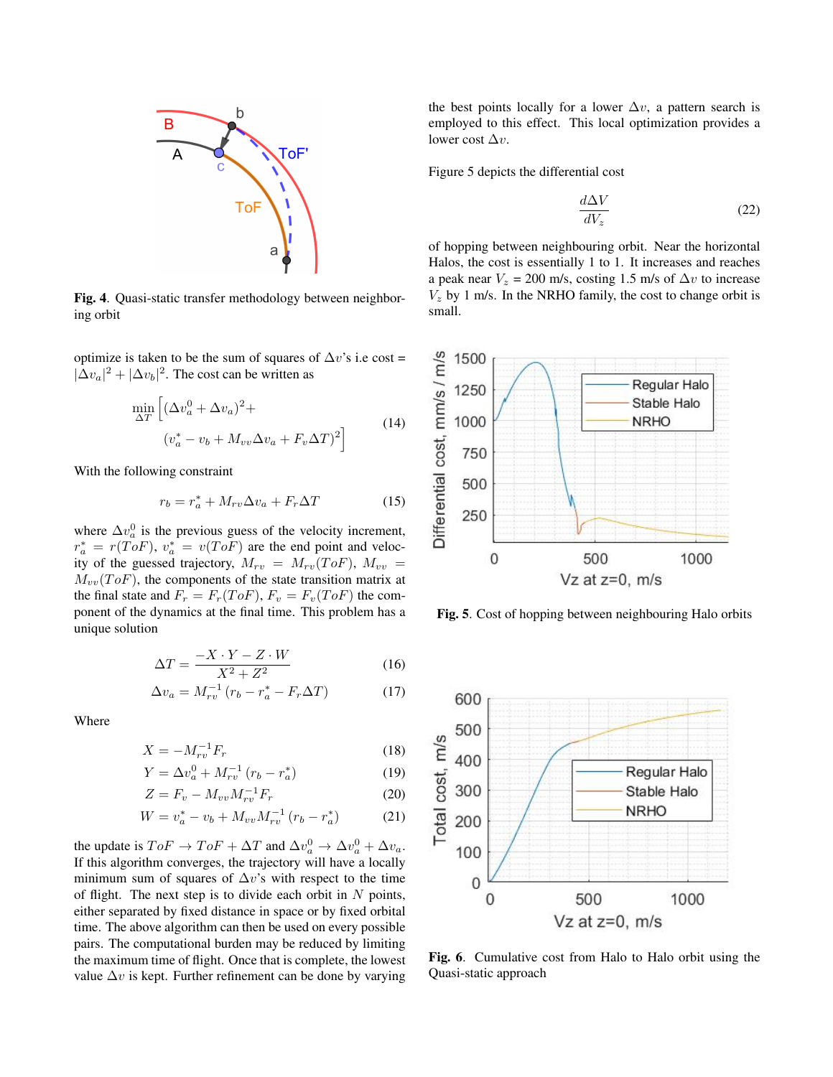

Fig. 4. Quasi-static transfer methodology between neighboring orbit

optimize is taken to be the sum of squares of  $\Delta v$ 's i.e cost =  $|\Delta v_a|^2 + |\Delta v_b|^2$ . The cost can be written as

$$
\min_{\Delta T} \left[ (\Delta v_a^0 + \Delta v_a)^2 + (v_a^* - v_b + M_{vv} \Delta v_a + F_v \Delta T)^2 \right]
$$
\n(14)

With the following constraint

$$
r_b = r_a^* + M_{rv}\Delta v_a + F_r \Delta T \tag{15}
$$

where  $\Delta v_a^0$  is the previous guess of the velocity increment,  $r_a^* = r(ToF), v_a^* = v(ToF)$  are the end point and velocity of the guessed trajectory,  $M_{rv} = M_{rv}(ToF)$ ,  $M_{vv} =$  $M_{vv}(ToF)$ , the components of the state transition matrix at the final state and  $F_r = F_r(ToF)$ ,  $F_v = F_v(ToF)$  the component of the dynamics at the final time. This problem has a unique solution

$$
\Delta T = \frac{-X \cdot Y - Z \cdot W}{X^2 + Z^2} \tag{16}
$$

$$
\Delta v_a = M_{rv}^{-1} \left( r_b - r_a^* - F_r \Delta T \right) \tag{17}
$$

Where

$$
X = -M_{rv}^{-1}F_r \tag{18}
$$

$$
Y = \Delta v_a^0 + M_{rv}^{-1} (r_b - r_a^*)
$$
 (19)

$$
Z = F_v - M_{vv} M_{rv}^{-1} F_r
$$
 (20)

$$
W = v_a^* - v_b + M_{vv} M_{rv}^{-1} (r_b - r_a^*)
$$
 (21)

the update is  $ToF \to ToF + \Delta T$  and  $\Delta v_a^0 \to \Delta v_a^0 + \Delta v_a$ . If this algorithm converges, the trajectory will have a locally minimum sum of squares of  $\Delta v$ 's with respect to the time of flight. The next step is to divide each orbit in  $N$  points, either separated by fixed distance in space or by fixed orbital time. The above algorithm can then be used on every possible pairs. The computational burden may be reduced by limiting the maximum time of flight. Once that is complete, the lowest value  $\Delta v$  is kept. Further refinement can be done by varying

the best points locally for a lower  $\Delta v$ , a pattern search is employed to this effect. This local optimization provides a lower cost  $\Delta v$ .

Figure 5 depicts the differential cost

$$
\frac{d\Delta V}{dV_z} \tag{22}
$$

of hopping between neighbouring orbit. Near the horizontal Halos, the cost is essentially 1 to 1. It increases and reaches a peak near  $V_z = 200$  m/s, costing 1.5 m/s of  $\Delta v$  to increase  $V<sub>z</sub>$  by 1 m/s. In the NRHO family, the cost to change orbit is small.



Fig. 5. Cost of hopping between neighbouring Halo orbits



Fig. 6. Cumulative cost from Halo to Halo orbit using the Quasi-static approach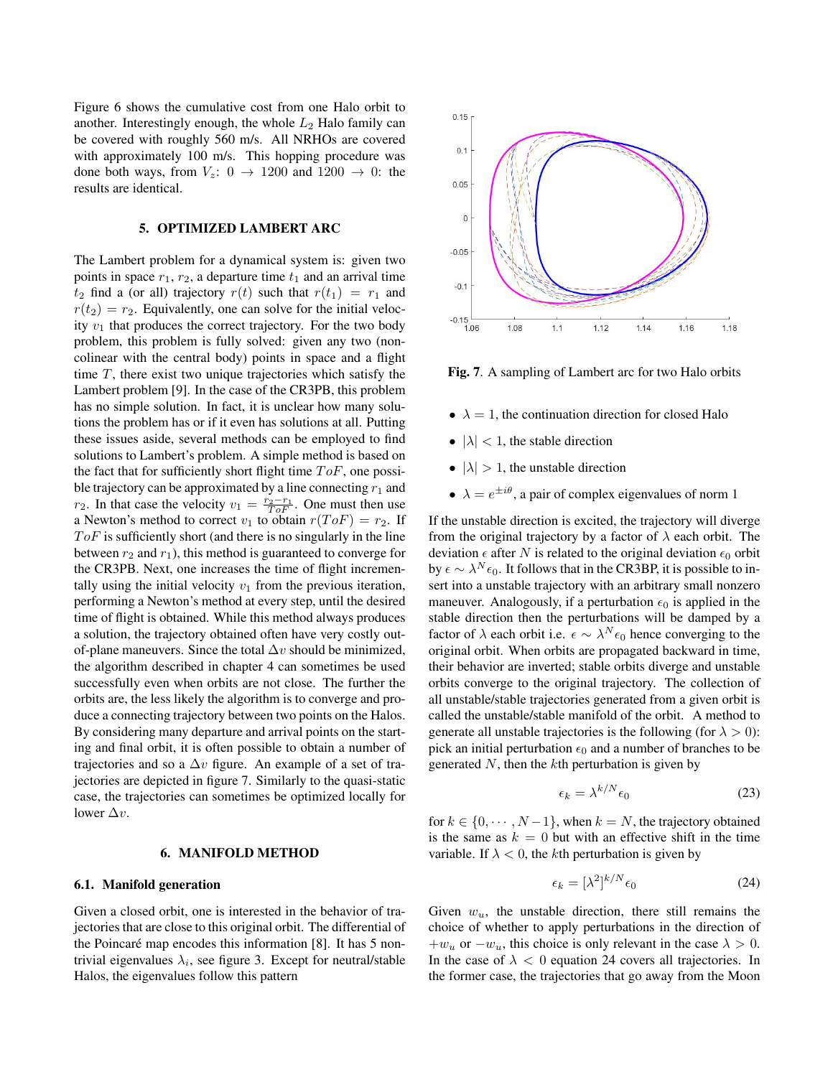Figure 6 shows the cumulative cost from one Halo orbit to another. Interestingly enough, the whole  $L_2$  Halo family can be covered with roughly 560 m/s. All NRHOs are covered with approximately 100 m/s. This hopping procedure was done both ways, from  $V_z$ :  $0 \rightarrow 1200$  and  $1200 \rightarrow 0$ : the results are identical.

### 5. OPTIMIZED LAMBERT ARC

The Lambert problem for a dynamical system is: given two points in space  $r_1$ ,  $r_2$ , a departure time  $t_1$  and an arrival time  $t_2$  find a (or all) trajectory  $r(t)$  such that  $r(t_1) = r_1$  and  $r(t_2) = r_2$ . Equivalently, one can solve for the initial velocity  $v_1$  that produces the correct trajectory. For the two body problem, this problem is fully solved: given any two (noncolinear with the central body) points in space and a flight time  $T$ , there exist two unique trajectories which satisfy the Lambert problem [9]. In the case of the CR3PB, this problem has no simple solution. In fact, it is unclear how many solutions the problem has or if it even has solutions at all. Putting these issues aside, several methods can be employed to find solutions to Lambert's problem. A simple method is based on the fact that for sufficiently short flight time  $ToF$ , one possible trajectory can be approximated by a line connecting  $r_1$  and  $r_2$ . In that case the velocity  $v_1 = \frac{r_2 - r_1}{T \circ F}$ . One must then use a Newton's method to correct  $v_1$  to obtain  $r(ToF) = r_2$ . If  $ToF$  is sufficiently short (and there is no singularly in the line between  $r_2$  and  $r_1$ ), this method is guaranteed to converge for the CR3PB. Next, one increases the time of flight incrementally using the initial velocity  $v_1$  from the previous iteration, performing a Newton's method at every step, until the desired time of flight is obtained. While this method always produces a solution, the trajectory obtained often have very costly outof-plane maneuvers. Since the total  $\Delta v$  should be minimized, the algorithm described in chapter 4 can sometimes be used successfully even when orbits are not close. The further the orbits are, the less likely the algorithm is to converge and produce a connecting trajectory between two points on the Halos. By considering many departure and arrival points on the starting and final orbit, it is often possible to obtain a number of trajectories and so a  $\Delta v$  figure. An example of a set of trajectories are depicted in figure 7. Similarly to the quasi-static case, the trajectories can sometimes be optimized locally for lower  $\Delta v$ .

### 6. MANIFOLD METHOD

### 6.1. Manifold generation

Given a closed orbit, one is interested in the behavior of trajectories that are close to this original orbit. The differential of the Poincaré map encodes this information  $[8]$ . It has 5 nontrivial eigenvalues  $\lambda_i$ , see figure 3. Except for neutral/stable Halos, the eigenvalues follow this pattern



Fig. 7. A sampling of Lambert arc for two Halo orbits

- $\lambda = 1$ , the continuation direction for closed Halo
- $|\lambda|$  < 1, the stable direction
- $|\lambda| > 1$ , the unstable direction
- $\lambda = e^{\pm i\theta}$ , a pair of complex eigenvalues of norm 1

If the unstable direction is excited, the trajectory will diverge from the original trajectory by a factor of  $\lambda$  each orbit. The deviation  $\epsilon$  after N is related to the original deviation  $\epsilon_0$  orbit by  $\epsilon \sim \lambda^N \epsilon_0$ . It follows that in the CR3BP, it is possible to insert into a unstable trajectory with an arbitrary small nonzero maneuver. Analogously, if a perturbation  $\epsilon_0$  is applied in the stable direction then the perturbations will be damped by a factor of  $\lambda$  each orbit i.e.  $\epsilon \sim \lambda^N \epsilon_0$  hence converging to the original orbit. When orbits are propagated backward in time, their behavior are inverted; stable orbits diverge and unstable orbits converge to the original trajectory. The collection of all unstable/stable trajectories generated from a given orbit is called the unstable/stable manifold of the orbit. A method to generate all unstable trajectories is the following (for  $\lambda > 0$ ): pick an initial perturbation  $\epsilon_0$  and a number of branches to be generated  $N$ , then the  $k$ th perturbation is given by

$$
\epsilon_k = \lambda^{k/N} \epsilon_0 \tag{23}
$$

for  $k \in \{0, \dots, N-1\}$ , when  $k = N$ , the trajectory obtained is the same as  $k = 0$  but with an effective shift in the time variable. If  $\lambda < 0$ , the kth perturbation is given by

$$
\epsilon_k = [\lambda^2]^{k/N} \epsilon_0 \tag{24}
$$

Given  $w_u$ , the unstable direction, there still remains the choice of whether to apply perturbations in the direction of  $+w_u$  or  $-w_u$ , this choice is only relevant in the case  $\lambda > 0$ . In the case of  $\lambda < 0$  equation 24 covers all trajectories. In the former case, the trajectories that go away from the Moon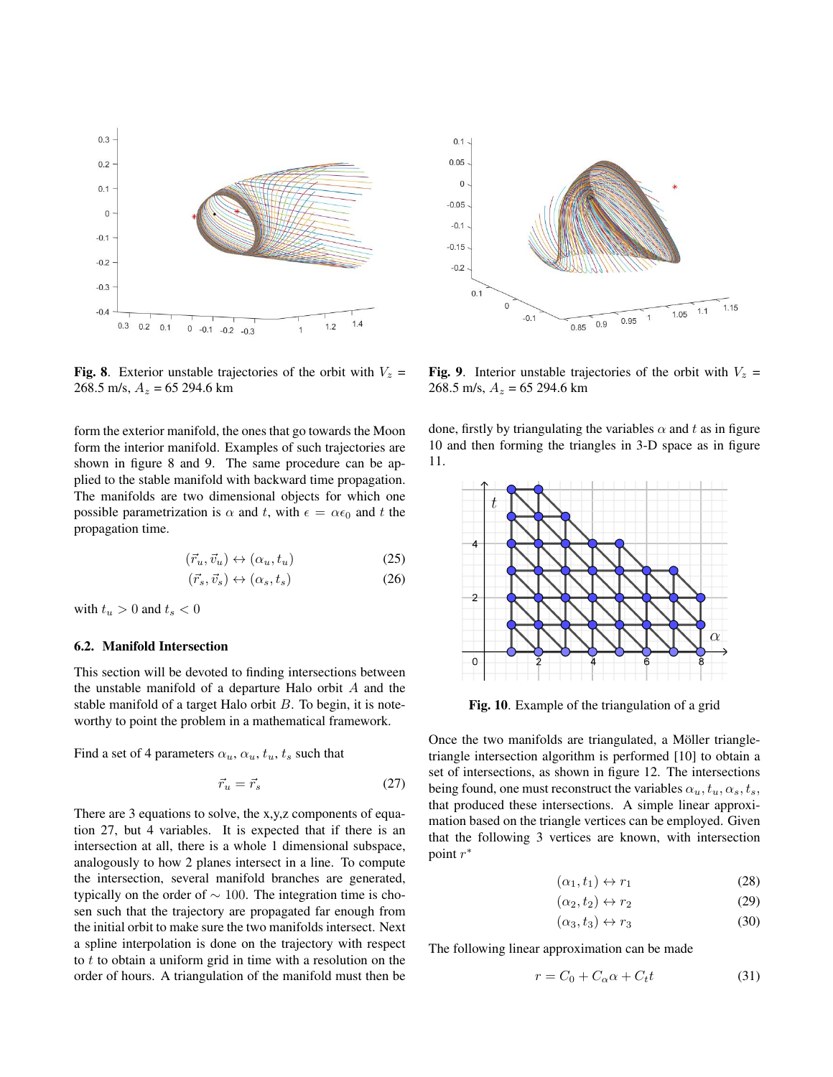

Fig. 8. Exterior unstable trajectories of the orbit with  $V_z$  = 268.5 m/s,  $A_z = 65294.6$  km

form the exterior manifold, the ones that go towards the Moon form the interior manifold. Examples of such trajectories are shown in figure 8 and 9. The same procedure can be applied to the stable manifold with backward time propagation. The manifolds are two dimensional objects for which one possible parametrization is  $\alpha$  and t, with  $\epsilon = \alpha \epsilon_0$  and t the propagation time.

$$
(\vec{r}_u, \vec{v}_u) \leftrightarrow (\alpha_u, t_u) \tag{25}
$$

$$
(\vec{r}_s, \vec{v}_s) \leftrightarrow (\alpha_s, t_s) \tag{26}
$$

with  $t_u > 0$  and  $t_s < 0$ 

### 6.2. Manifold Intersection

This section will be devoted to finding intersections between the unstable manifold of a departure Halo orbit A and the stable manifold of a target Halo orbit  $B$ . To begin, it is noteworthy to point the problem in a mathematical framework.

Find a set of 4 parameters  $\alpha_u$ ,  $\alpha_u$ ,  $t_u$ ,  $t_s$  such that

$$
\vec{r}_u = \vec{r}_s \tag{27}
$$

There are 3 equations to solve, the x,y,z components of equation 27, but 4 variables. It is expected that if there is an intersection at all, there is a whole 1 dimensional subspace, analogously to how 2 planes intersect in a line. To compute the intersection, several manifold branches are generated, typically on the order of  $\sim$  100. The integration time is chosen such that the trajectory are propagated far enough from the initial orbit to make sure the two manifolds intersect. Next a spline interpolation is done on the trajectory with respect to  $t$  to obtain a uniform grid in time with a resolution on the order of hours. A triangulation of the manifold must then be



Fig. 9. Interior unstable trajectories of the orbit with  $V_z$  = 268.5 m/s,  $A_z = 65294.6$  km

done, firstly by triangulating the variables  $\alpha$  and t as in figure 10 and then forming the triangles in 3-D space as in figure 11.



Fig. 10. Example of the triangulation of a grid

Once the two manifolds are triangulated, a Möller triangletriangle intersection algorithm is performed [10] to obtain a set of intersections, as shown in figure 12. The intersections being found, one must reconstruct the variables  $\alpha_u, t_u, \alpha_s, t_s$ , that produced these intersections. A simple linear approximation based on the triangle vertices can be employed. Given that the following 3 vertices are known, with intersection point  $r^*$ 

$$
(\alpha_1, t_1) \leftrightarrow r_1 \tag{28}
$$

$$
(\alpha_2, t_2) \leftrightarrow r_2 \tag{29}
$$

$$
(\alpha_3, t_3) \leftrightarrow r_3 \tag{30}
$$

The following linear approximation can be made

$$
r = C_0 + C_\alpha \alpha + C_t t \tag{31}
$$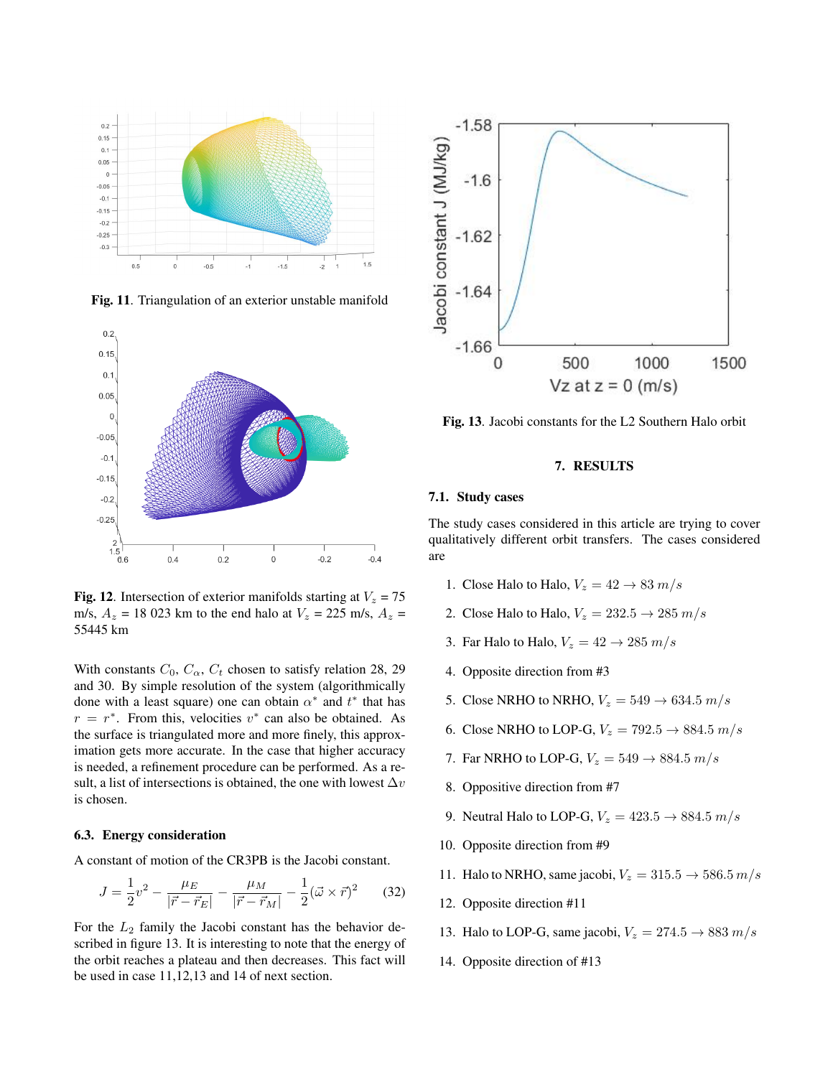

Fig. 11. Triangulation of an exterior unstable manifold



Fig. 12. Intersection of exterior manifolds starting at  $V_z = 75$ m/s,  $A_z = 18023$  km to the end halo at  $V_z = 225$  m/s,  $A_z =$ 55445 km

With constants  $C_0$ ,  $C_{\alpha}$ ,  $C_t$  chosen to satisfy relation 28, 29 and 30. By simple resolution of the system (algorithmically done with a least square) one can obtain  $\alpha^*$  and  $t^*$  that has  $r = r^*$ . From this, velocities  $v^*$  can also be obtained. As the surface is triangulated more and more finely, this approximation gets more accurate. In the case that higher accuracy is needed, a refinement procedure can be performed. As a result, a list of intersections is obtained, the one with lowest  $\Delta v$ is chosen.

#### 6.3. Energy consideration

A constant of motion of the CR3PB is the Jacobi constant.

$$
J = \frac{1}{2}v^2 - \frac{\mu_E}{|\vec{r} - \vec{r}_E|} - \frac{\mu_M}{|\vec{r} - \vec{r}_M|} - \frac{1}{2}(\vec{\omega} \times \vec{r})^2 \qquad (32)
$$

For the  $L_2$  family the Jacobi constant has the behavior described in figure 13. It is interesting to note that the energy of the orbit reaches a plateau and then decreases. This fact will be used in case 11,12,13 and 14 of next section.



Fig. 13. Jacobi constants for the L2 Southern Halo orbit

### 7. RESULTS

# 7.1. Study cases

The study cases considered in this article are trying to cover qualitatively different orbit transfers. The cases considered are

- 1. Close Halo to Halo,  $V_z = 42 \rightarrow 83 \, m/s$
- 2. Close Halo to Halo,  $V_z = 232.5 \rightarrow 285 \ m/s$
- 3. Far Halo to Halo,  $V_z = 42 \rightarrow 285 \ m/s$
- 4. Opposite direction from #3
- 5. Close NRHO to NRHO,  $V_z = 549 \rightarrow 634.5 \ m/s$
- 6. Close NRHO to LOP-G,  $V_z = 792.5 \rightarrow 884.5 \ m/s$
- 7. Far NRHO to LOP-G,  $V_z = 549 \rightarrow 884.5 \ m/s$
- 8. Oppositive direction from #7
- 9. Neutral Halo to LOP-G,  $V_z = 423.5 \rightarrow 884.5 \ m/s$
- 10. Opposite direction from #9
- 11. Halo to NRHO, same jacobi,  $V_z = 315.5 \rightarrow 586.5 \, m/s$
- 12. Opposite direction #11
- 13. Halo to LOP-G, same jacobi,  $V_z = 274.5 \rightarrow 883 \ m/s$
- 14. Opposite direction of #13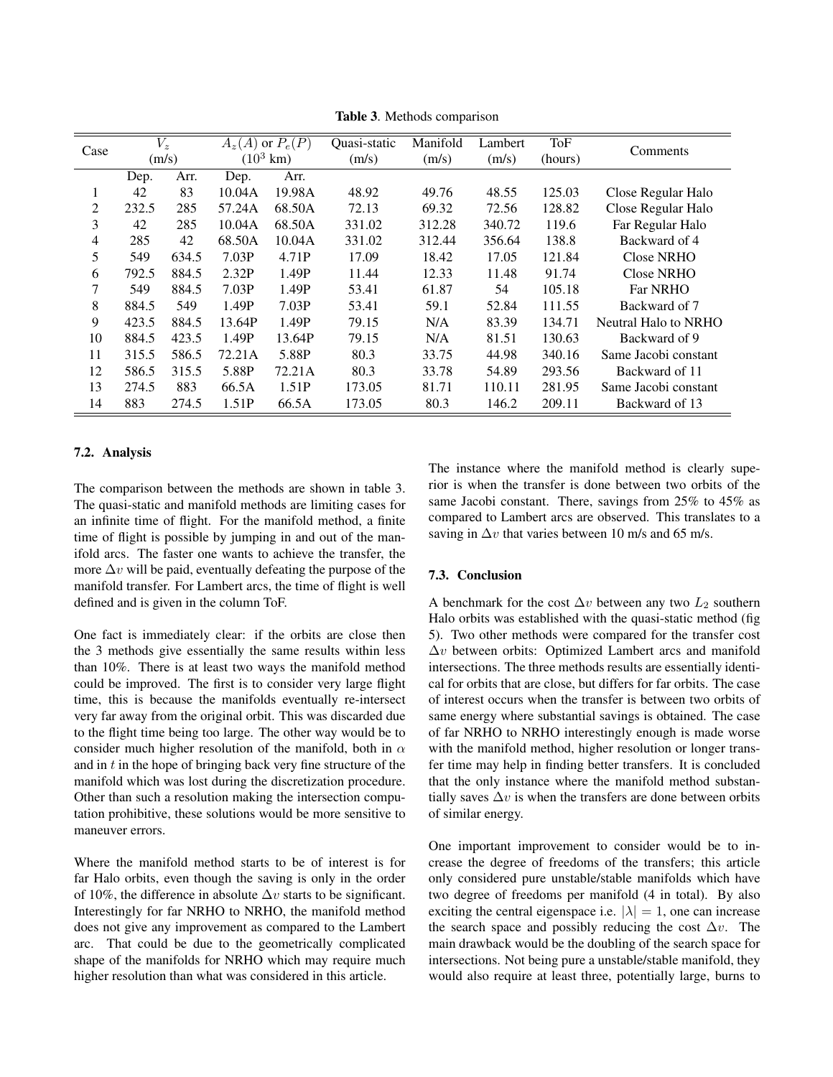| Case | $V_z$ |       | $A_z(A)$ or $P_e(P)$ |        | Quasi-static | Manifold | Lambert | ToF     | Comments             |
|------|-------|-------|----------------------|--------|--------------|----------|---------|---------|----------------------|
|      | (m/s) |       | $(10^3 \text{ km})$  |        | (m/s)        | (m/s)    | (m/s)   | (hours) |                      |
|      | Dep.  | Arr.  | Dep.                 | Arr.   |              |          |         |         |                      |
|      | 42    | 83    | 10.04A               | 19.98A | 48.92        | 49.76    | 48.55   | 125.03  | Close Regular Halo   |
| 2    | 232.5 | 285   | 57.24A               | 68.50A | 72.13        | 69.32    | 72.56   | 128.82  | Close Regular Halo   |
| 3    | 42    | 285   | 10.04A               | 68.50A | 331.02       | 312.28   | 340.72  | 119.6   | Far Regular Halo     |
| 4    | 285   | 42    | 68.50A               | 10.04A | 331.02       | 312.44   | 356.64  | 138.8   | Backward of 4        |
| 5    | 549   | 634.5 | 7.03P                | 4.71P  | 17.09        | 18.42    | 17.05   | 121.84  | Close NRHO           |
| 6    | 792.5 | 884.5 | 2.32P                | 1.49P  | 11.44        | 12.33    | 11.48   | 91.74   | <b>Close NRHO</b>    |
| 7    | 549   | 884.5 | 7.03P                | 1.49P  | 53.41        | 61.87    | 54      | 105.18  | <b>Far NRHO</b>      |
| 8    | 884.5 | 549   | 1.49P                | 7.03P  | 53.41        | 59.1     | 52.84   | 111.55  | Backward of 7        |
| 9    | 423.5 | 884.5 | 13.64P               | 1.49P  | 79.15        | N/A      | 83.39   | 134.71  | Neutral Halo to NRHO |
| 10   | 884.5 | 423.5 | 1.49P                | 13.64P | 79.15        | N/A      | 81.51   | 130.63  | Backward of 9        |
| 11   | 315.5 | 586.5 | 72.21A               | 5.88P  | 80.3         | 33.75    | 44.98   | 340.16  | Same Jacobi constant |
| 12   | 586.5 | 315.5 | 5.88P                | 72.21A | 80.3         | 33.78    | 54.89   | 293.56  | Backward of 11       |
| 13   | 274.5 | 883   | 66.5A                | 1.51P  | 173.05       | 81.71    | 110.11  | 281.95  | Same Jacobi constant |
| 14   | 883   | 274.5 | 1.51P                | 66.5A  | 173.05       | 80.3     | 146.2   | 209.11  | Backward of 13       |

Table 3. Methods comparison

## 7.2. Analysis

The comparison between the methods are shown in table 3. The quasi-static and manifold methods are limiting cases for an infinite time of flight. For the manifold method, a finite time of flight is possible by jumping in and out of the manifold arcs. The faster one wants to achieve the transfer, the more  $\Delta v$  will be paid, eventually defeating the purpose of the manifold transfer. For Lambert arcs, the time of flight is well defined and is given in the column ToF.

One fact is immediately clear: if the orbits are close then the 3 methods give essentially the same results within less than 10%. There is at least two ways the manifold method could be improved. The first is to consider very large flight time, this is because the manifolds eventually re-intersect very far away from the original orbit. This was discarded due to the flight time being too large. The other way would be to consider much higher resolution of the manifold, both in  $\alpha$ and in  $t$  in the hope of bringing back very fine structure of the manifold which was lost during the discretization procedure. Other than such a resolution making the intersection computation prohibitive, these solutions would be more sensitive to maneuver errors.

Where the manifold method starts to be of interest is for far Halo orbits, even though the saving is only in the order of 10%, the difference in absolute  $\Delta v$  starts to be significant. Interestingly for far NRHO to NRHO, the manifold method does not give any improvement as compared to the Lambert arc. That could be due to the geometrically complicated shape of the manifolds for NRHO which may require much higher resolution than what was considered in this article.

The instance where the manifold method is clearly superior is when the transfer is done between two orbits of the same Jacobi constant. There, savings from 25% to 45% as compared to Lambert arcs are observed. This translates to a saving in  $\Delta v$  that varies between 10 m/s and 65 m/s.

## 7.3. Conclusion

A benchmark for the cost  $\Delta v$  between any two  $L_2$  southern Halo orbits was established with the quasi-static method (fig 5). Two other methods were compared for the transfer cost ∆v between orbits: Optimized Lambert arcs and manifold intersections. The three methods results are essentially identical for orbits that are close, but differs for far orbits. The case of interest occurs when the transfer is between two orbits of same energy where substantial savings is obtained. The case of far NRHO to NRHO interestingly enough is made worse with the manifold method, higher resolution or longer transfer time may help in finding better transfers. It is concluded that the only instance where the manifold method substantially saves  $\Delta v$  is when the transfers are done between orbits of similar energy.

One important improvement to consider would be to increase the degree of freedoms of the transfers; this article only considered pure unstable/stable manifolds which have two degree of freedoms per manifold (4 in total). By also exciting the central eigenspace i.e.  $|\lambda| = 1$ , one can increase the search space and possibly reducing the cost  $\Delta v$ . The main drawback would be the doubling of the search space for intersections. Not being pure a unstable/stable manifold, they would also require at least three, potentially large, burns to